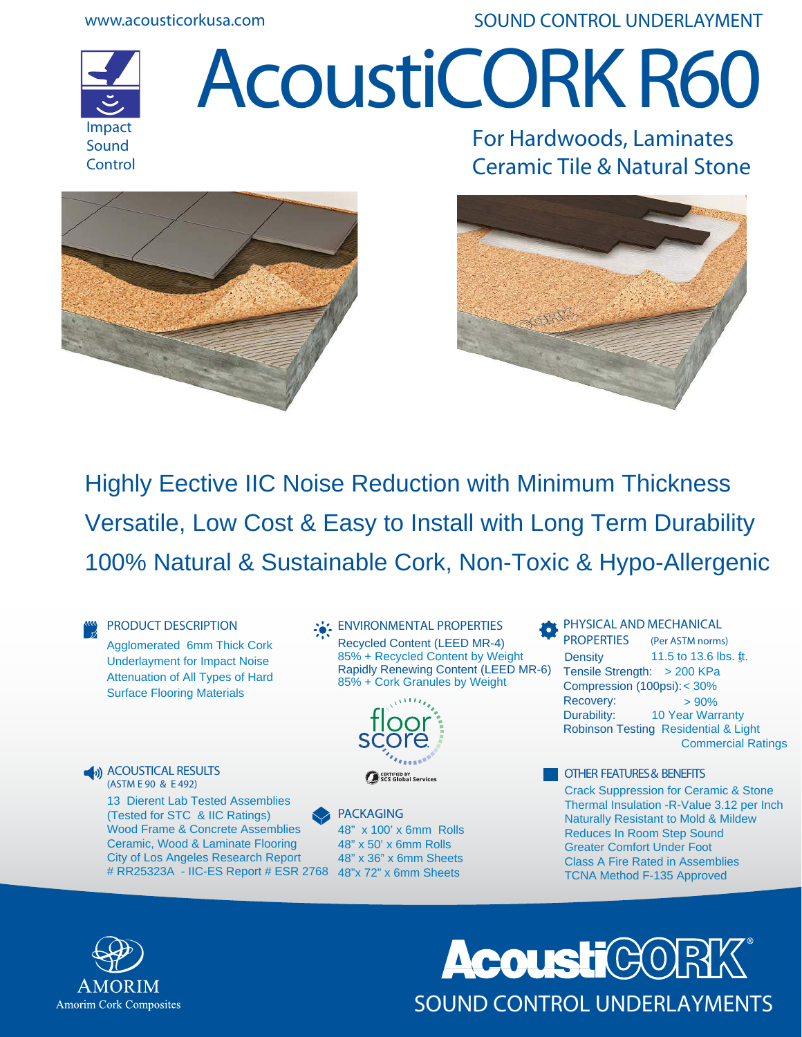**www.acousticorkusa.com**

**SOUND CONTROL UNDERLAYMENT**



# **AcoustiCORK R60**



**For Hardwoods, Laminates Ceramic Tile & Natural Stone**



Highly E ective IIC Noise Reduction with Minimum Thickness Versatile, Low Cost & Easy to Install with Long Term Durability 100% Natural & Sustainable Cork, Non-Toxic & Hypo-Allergenic

**PRODUCT DESCRIPTION** Agglomerated 6mm Thick Cork Underlayment for Impact Noise Surface Flooring Materials

Attenuation of All Types of Hard

**ACOUSTICAL RESULTS (ASTM E 90 & E 492)**

> 13 Di erent Lab Tested Assemblies (Tested for STC & IIC Ratings) Wood Frame & Concrete Assemblies Ceramic, Wood & Laminate Flooring City of Los Angeles Research Report # RR25323A - IIC-ES Report # ESR 2768 48"x 72" x 6mm Sheets

**ENVIRONMENTAL PROPERTIES**  Recycled Content (LEED MR-4) 85% + Recycled Content by Weight Rapidly Renewing Content (LEED MR-6) 85% + Cork Granules by Weight



**PACKAGING** 48" x 100' x 6mm Rolls 48" x 50' x 6mm Rolls 48" x 36" x 6mm Sheets

**PHYSICAL AND MECHANICAL PROPERTIES (Per ASTM norms)** 11.5 to 13.6 lbs. ft. Tensile Strength: > 200 KPa Compression (100psi):< 30%  $\text{Recovery:}$  > 90% Durability: Robinson Testing Residential & Light Commercial Ratings 10 Year Warranty **Density** 

**OTHER FEATURES & BENEFITS** Crack Suppression for Ceramic & Stone Thermal Insulation -R-Value 3.12 per Inch Naturally Resistant to Mold & Mildew Reduces In Room Step Sound Greater Comfort Under Foot Class A Fire Rated in Assemblies TCNA Method F-135 Approved



**AcoustiCOR** SOUND CONTROL UNDERLAYMENTS